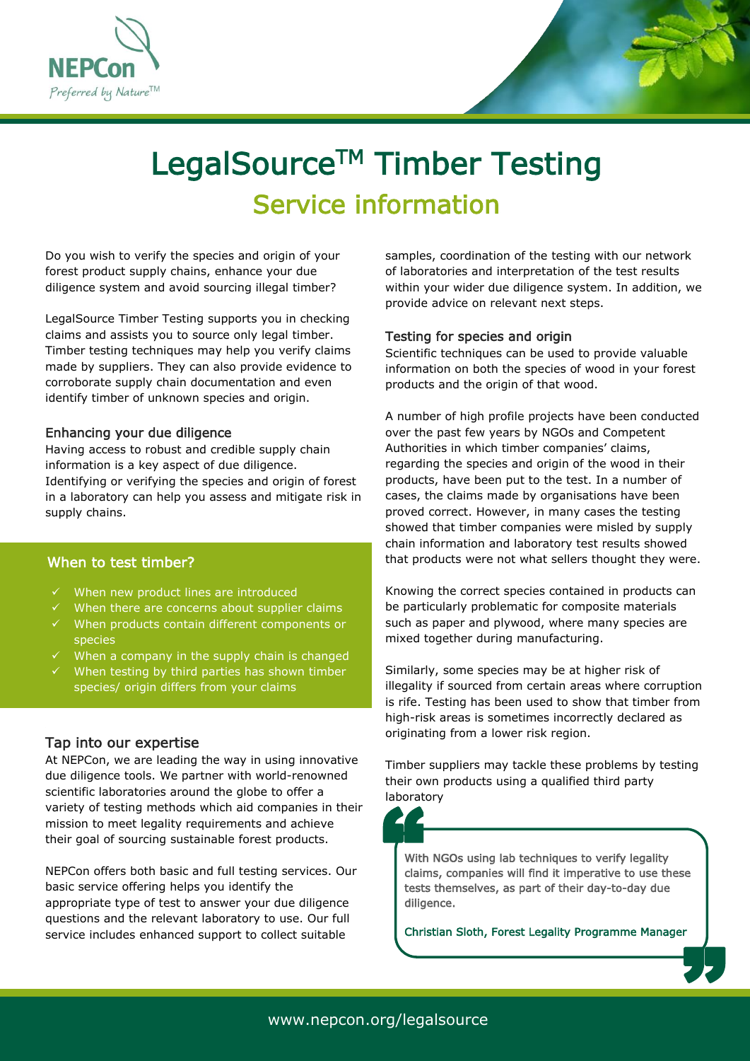



# LegalSource<sup>™</sup> Timber Testing Service information

Do you wish to verify the species and origin of your forest product supply chains, enhance your due diligence system and avoid sourcing illegal timber?

LegalSource Timber Testing supports you in checking claims and assists you to source only legal timber. Timber testing techniques may help you verify claims made by suppliers. They can also provide evidence to corroborate supply chain documentation and even identify timber of unknown species and origin.

#### Enhancing your due diligence

Having access to robust and credible supply chain information is a key aspect of due diligence. Identifying or verifying the species and origin of forest in a laboratory can help you assess and mitigate risk in supply chains.

## When to test timber?

- When new product lines are introduced
- When there are concerns about supplier claims
- $\checkmark$  When products contain different components or species
- $\checkmark$  When a company in the supply chain is changed
- $\checkmark$  When testing by third parties has shown timber species/ origin differs from your claims

## Tap into our expertise

At NEPCon, we are leading the way in using innovative due diligence tools. We partner with world-renowned scientific laboratories around the globe to offer a variety of testing methods which aid companies in their mission to meet legality requirements and achieve their goal of sourcing sustainable forest products.

NEPCon offers both basic and full testing services. Our basic service offering helps you identify the appropriate type of test to answer your due diligence questions and the relevant laboratory to use. Our full service includes enhanced support to collect suitable

i<br>Li samples, coordination of the testing with our network of laboratories and interpretation of the test results within your wider due diligence system. In addition, we provide advice on relevant next steps.

#### Testing for species and origin

Scientific techniques can be used to provide valuable information on both the species of wood in your forest products and the origin of that wood.

A number of high profile projects have been conducted over the past few years by NGOs and Competent Authorities in which timber companies' claims, regarding the species and origin of the wood in their products, have been put to the test. In a number of cases, the claims made by organisations have been proved correct. However, in many cases the testing showed that timber companies were misled by supply chain information and laboratory test results showed that products were not what sellers thought they were.

Knowing the correct species contained in products can be particularly problematic for composite materials such as paper and plywood, where many species are mixed together during manufacturing.

Similarly, some species may be at higher risk of illegality if sourced from certain areas where corruption is rife. Testing has been used to show that timber from high-risk areas is sometimes incorrectly declared as originating from a lower risk region.

Timber suppliers may tackle these problems by testing their own products using a qualified third party laboratory



With NGOs using lab techniques to verify legality claims, companies will find it imperative to use these tests themselves, as part of their day-to-day due diligence. With NGC<br>Claims, c

Christian Sloth, Forest Legality Programme Manager **"** 

í